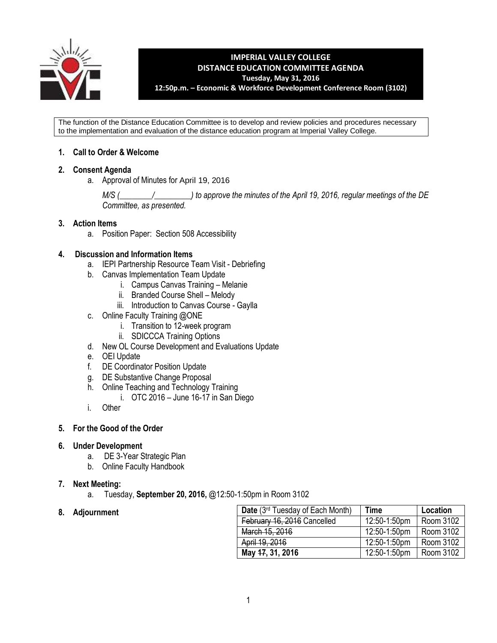

### **IMPERIAL VALLEY COLLEGE DISTANCE EDUCATION COMMITTEE AGENDA Tuesday, May 31, 2016 12:50p.m. – Economic & Workforce Development Conference Room (3102)**

The function of the Distance Education Committee is to develop and review policies and procedures necessary to the implementation and evaluation of the distance education program at Imperial Valley College.

# **1. Call to Order & Welcome**

### **2. Consent Agenda**

a. Approval of Minutes for April 19, 2016

*M/S (\_\_\_\_\_\_\_\_/\_\_\_\_\_\_\_\_\_) to approve the minutes of the April 19, 2016, regular meetings of the DE Committee, as presented.*

### **3. Action Items**

a. Position Paper: Section 508 Accessibility

### **4. Discussion and Information Items**

- a. IEPI Partnership Resource Team Visit Debriefing
- b. Canvas Implementation Team Update
	- i. Campus Canvas Training Melanie
	- ii. Branded Course Shell Melody
	- iii. Introduction to Canvas Course Gaylla
- c. Online Faculty Training @ONE
	- i. Transition to 12-week program
	- ii. SDICCCA Training Options
- d. New OL Course Development and Evaluations Update
- e. OEI Update
- f. DE Coordinator Position Update
- g. DE Substantive Change Proposal
- h. Online Teaching and Technology Training
	- i. OTC 2016 June 16-17 in San Diego
- i. Other

#### **5. For the Good of the Order**

#### **6. Under Development**

- a. DE 3-Year Strategic Plan
- b. Online Faculty Handbook

#### **7. Next Meeting:**

a. Tuesday, **September 20, 2016,** @12:50-1:50pm in Room 3102

### **8. Adjournment**

| Date (3rd Tuesday of Each Month) | Time         | Location  |
|----------------------------------|--------------|-----------|
| February 16, 2016 Cancelled      | 12:50-1:50pm | Room 3102 |
| March 15, 2016                   | 12:50-1:50pm | Room 3102 |
| April 19, 2016                   | 12:50-1:50pm | Room 3102 |
| May 47, 31, 2016                 | 12:50-1:50pm | Room 3102 |